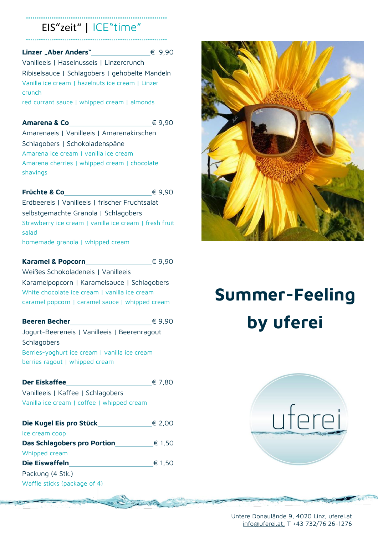# EIS"zeit" | ICE"time" ˚˚˚˚˚˚˚˚˚˚˚˚˚˚˚˚˚˚˚˚˚˚˚˚˚˚˚˚˚˚˚˚˚˚˚˚˚˚˚˚˚˚˚˚˚˚˚˚˚˚˚˚˚˚˚˚˚˚˚˚˚˚˚˚˚˚

˚˚˚˚˚˚˚˚˚˚˚˚˚˚˚˚˚˚˚˚˚˚˚˚˚˚˚˚˚˚˚˚˚˚˚˚˚˚˚˚˚˚˚˚˚˚˚˚˚˚˚˚˚˚˚˚˚˚˚˚˚˚˚˚˚˚

### **Linzer "Aber Anders"** € 9,90

Vanilleeis | Haselnusseis | Linzercrunch Ribiselsauce | Schlagobers | gehobelte Mandeln Vanilla ice cream | hazelnuts ice cream | Linzer crunch red currant sauce | whipped cream | almonds

### **Amarena & Co** € 9.90

Amarenaeis | Vanilleeis | Amarenakirschen Schlagobers | Schokoladenspäne Amarena ice cream | vanilla ice cream Amarena cherries | whipped cream | chocolate shavings

#### **Früchte & Co** € 9,90

Erdbeereis | Vanilleeis | frischer Fruchtsalat selbstgemachte Granola | Schlagobers Strawberry ice cream | vanilla ice cream | fresh fruit salad homemade granola | whipped cream

**Karamel & Popcorn** € 9,90

Weißes Schokoladeneis | Vanilleeis Karamelpopcorn | Karamelsauce | Schlagobers White chocolate ice cream | vanilla ice cream caramel popcorn | caramel sauce | whipped cream

| <b>Beeren Becher</b>                          | € 9,90 |
|-----------------------------------------------|--------|
| Jogurt-Beereneis   Vanilleeis   Beerenragout  |        |
| Schlagobers                                   |        |
| Berries-yoghurt ice cream   vanilla ice cream |        |
| berries ragout   whipped cream                |        |
|                                               |        |

| <b>Der Eiskaffee</b>                       | € 7,80 |
|--------------------------------------------|--------|
| Vanilleeis   Kaffee   Schlagobers          |        |
| Vanilla ice cream   coffee   whipped cream |        |

| Die Kugel Eis pro Stück      | € 2.00 |
|------------------------------|--------|
| Ice cream coop               |        |
| Das Schlagobers pro Portion  | € 1,50 |
| Whipped cream                |        |
| Die Eiswaffeln               | € 1,50 |
| Packung (4 Stk.)             |        |
| Waffle sticks (package of 4) |        |



# **Summer-Feeling by uferei**



Untere Donaulände 9, 4020 Linz, uferei.at [info@uferei.at,](mailto:info@uferei.at) T +43 732/76 26-1276